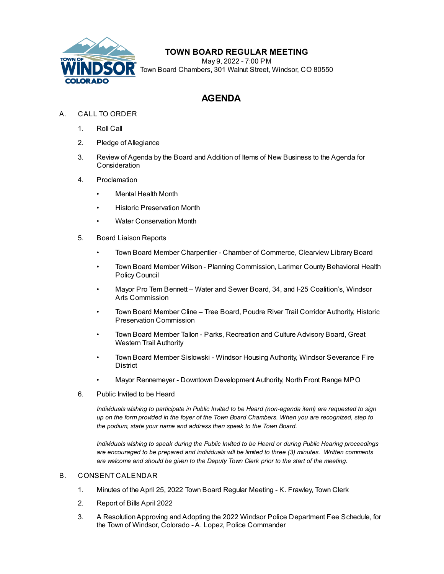

## **TOWN BOARD REGULAR MEETING**

May 9, 2022 - 7:00 PM Town Board Chambers, 301 Walnut Street, Windsor, CO 80550

# **AGENDA**

- A. CALL TO ORDER
	- 1. Roll Call
	- 2. Pledge of Allegiance
	- 3. Review of Agenda by the Board and Addition of Items of New Business to the Agenda for **Consideration**
	- 4. Proclamation
		- Mental Health Month
		- Historic Preservation Month
		- Water Conservation Month
	- 5. Board Liaison Reports
		- Town Board Member Charpentier Chamber of Commerce, Clearview Library Board
		- Town Board Member Wilson Planning Commission, Larimer County Behavioral Health Policy Council
		- Mayor Pro Tem Bennett Water and Sewer Board, 34, and I-25 Coalition's, Windsor Arts Commission
		- Town Board Member Cline Tree Board, Poudre River Trail Corridor Authority, Historic Preservation Commission
		- Town Board Member Tallon Parks, Recreation and Culture Advisory Board, Great Western Trail Authority
		- Town Board Member Sislowski Windsor Housing Authority, Windsor Severance Fire **District**
		- Mayor Rennemeyer Downtown Development Authority, North Front Range MPO
	- 6. Public Invited to be Heard

*Individuals wishing to participate in Public Invited to be Heard (non-agenda item) are requested to sign* up on the form provided in the foyer of the Town Board Chambers. When you are recognized, step to *the podium, state your name and address then speak to the Town Board.*

*Individuals wishing to speak during the Public Invited to be Heard or during Public Hearing proceedings are encouraged to be prepared and individuals will be limited to three (3) minutes. Written comments are welcome and should be given to the Deputy Town Clerk prior to the start of the meeting.*

#### B. CONSENT CALENDAR

- 1. Minutes of the April 25, 2022 Town Board Regular Meeting K. [Frawley,](file:///C:/Windows/TEMP/CoverSheet.aspx?ItemID=2042&MeetingID=373) Town Clerk
- 2. [Report](file:///C:/Windows/TEMP/CoverSheet.aspx?ItemID=2050&MeetingID=373) of Bills April 2022
- 3. A [ResolutionApproving](file:///C:/Windows/TEMP/CoverSheet.aspx?ItemID=2059&MeetingID=373) and Adopting the 2022 Windsor Police Department Fee Schedule, for the Town of Windsor, Colorado - A. Lopez, Police Commander